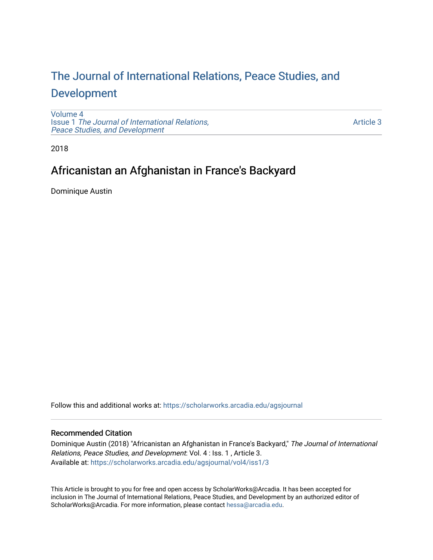# [The Journal of International Relations, Peace Studies, and](https://scholarworks.arcadia.edu/agsjournal)  [Development](https://scholarworks.arcadia.edu/agsjournal)

[Volume 4](https://scholarworks.arcadia.edu/agsjournal/vol4) Issue 1 [The Journal of International Relations,](https://scholarworks.arcadia.edu/agsjournal/vol4/iss1) [Peace Studies, and Development](https://scholarworks.arcadia.edu/agsjournal/vol4/iss1) 

[Article 3](https://scholarworks.arcadia.edu/agsjournal/vol4/iss1/3) 

2018

# Africanistan an Afghanistan in France's Backyard

Dominique Austin

Follow this and additional works at: [https://scholarworks.arcadia.edu/agsjournal](https://scholarworks.arcadia.edu/agsjournal?utm_source=scholarworks.arcadia.edu%2Fagsjournal%2Fvol4%2Fiss1%2F3&utm_medium=PDF&utm_campaign=PDFCoverPages)

## Recommended Citation

Dominique Austin (2018) "Africanistan an Afghanistan in France's Backyard," The Journal of International Relations, Peace Studies, and Development: Vol. 4 : Iss. 1 , Article 3. Available at: [https://scholarworks.arcadia.edu/agsjournal/vol4/iss1/3](https://scholarworks.arcadia.edu/agsjournal/vol4/iss1/3?utm_source=scholarworks.arcadia.edu%2Fagsjournal%2Fvol4%2Fiss1%2F3&utm_medium=PDF&utm_campaign=PDFCoverPages) 

This Article is brought to you for free and open access by ScholarWorks@Arcadia. It has been accepted for inclusion in The Journal of International Relations, Peace Studies, and Development by an authorized editor of ScholarWorks@Arcadia. For more information, please contact [hessa@arcadia.edu](mailto:hessa@arcadia.edu).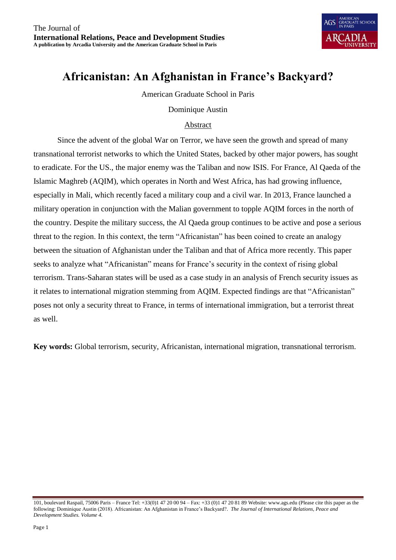

# **Africanistan: An Afghanistan in France's Backyard?**

American Graduate School in Paris

## Dominique Austin

## Abstract

Since the advent of the global War on Terror, we have seen the growth and spread of many transnational terrorist networks to which the United States, backed by other major powers, has sought to eradicate. For the US., the major enemy was the Taliban and now ISIS. For France, Al Qaeda of the Islamic Maghreb (AQIM), which operates in North and West Africa, has had growing influence, especially in Mali, which recently faced a military coup and a civil war. In 2013, France launched a military operation in conjunction with the Malian government to topple AQIM forces in the north of the country. Despite the military success, the Al Qaeda group continues to be active and pose a serious threat to the region. In this context, the term "Africanistan" has been coined to create an analogy between the situation of Afghanistan under the Taliban and that of Africa more recently. This paper seeks to analyze what "Africanistan" means for France's security in the context of rising global terrorism. Trans-Saharan states will be used as a case study in an analysis of French security issues as it relates to international migration stemming from AQIM. Expected findings are that "Africanistan" poses not only a security threat to France, in terms of international immigration, but a terrorist threat as well.

**Key words:** Global terrorism, security, Africanistan, international migration, transnational terrorism.

<sup>101,</sup> boulevard Raspail, 75006 Paris – France Tel: +33(0)1 47 20 00 94 – Fax: +33 (0)1 47 20 81 89 Website: www.ags.edu (Please cite this paper as the following: Dominique Austin (2018). Africanistan: An Afghanistan in France's Backyard?. *The Journal of International Relations, Peace and Development Studies. Volume 4.*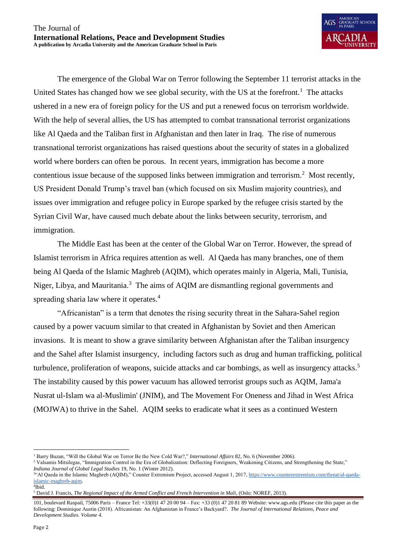The emergence of the Global War on Terror following the September 11 terrorist attacks in the United States has changed how we see global security, with the US at the forefront.<sup>1</sup> The attacks ushered in a new era of foreign policy for the US and put a renewed focus on terrorism worldwide. With the help of several allies, the US has attempted to combat transnational terrorist organizations like Al Qaeda and the Taliban first in Afghanistan and then later in Iraq. The rise of numerous transnational terrorist organizations has raised questions about the security of states in a globalized world where borders can often be porous. In recent years, immigration has become a more contentious issue because of the supposed links between immigration and terrorism.<sup>2</sup> Most recently, US President Donald Trump's travel ban (which focused on six Muslim majority countries), and issues over immigration and refugee policy in Europe sparked by the refugee crisis started by the Syrian Civil War, have caused much debate about the links between security, terrorism, and immigration.

The Middle East has been at the center of the Global War on Terror. However, the spread of Islamist terrorism in Africa requires attention as well. Al Qaeda has many branches, one of them being Al Qaeda of the Islamic Maghreb (AQIM), which operates mainly in Algeria, Mali, Tunisia, Niger, Libya, and Mauritania.<sup>3</sup> The aims of AQIM are dismantling regional governments and spreading sharia law where it operates.<sup>4</sup>

"Africanistan" is a term that denotes the rising security threat in the Sahara-Sahel region caused by a power vacuum similar to that created in Afghanistan by Soviet and then American invasions. It is meant to show a grave similarity between Afghanistan after the Taliban insurgency and the Sahel after Islamist insurgency, including factors such as drug and human trafficking, political turbulence, proliferation of weapons, suicide attacks and car bombings, as well as insurgency attacks.<sup>5</sup> The instability caused by this power vacuum has allowed terrorist groups such as AQIM, Jama'a Nusrat ul-Islam wa al-Muslimin' (JNIM), and The Movement For Oneness and Jihad in West Africa (MOJWA) to thrive in the Sahel. AQIM seeks to eradicate what it sees as a continued Western

 $\overline{a}$ 

<sup>1</sup> Barry Buzan, "Will the Global War on Terror Be the New Cold War?," *International Affairs* 82, No. 6 (November 2006).

<sup>2</sup> Valsamis Mitsilegas, "Immigration Control in the Era of Globalization: Deflecting Foreigners, Weakening Citizens, and Strengthening the State," *Indiana Journal of Global Legal Studies* 19, No. 1 (Winter 2012).

<sup>&</sup>lt;sup>344</sup> Al Qaeda in the Islamic Maghreb (AQIM)," Counter Extremism Project, accessed August 1, 2017, [https://www.counterextremism.com/threat/al-qaeda](https://www.counterextremism.com/threat/al-qaeda-islamic-maghreb-aqim)[islamic-maghreb-aqim.](https://www.counterextremism.com/threat/al-qaeda-islamic-maghreb-aqim)  4 Ibid.

<sup>5</sup> David J. Francis, *The Regional Impact of the Armed Conflict and French Intervention in Mali*, (Oslo: NOREF, 2013).

<sup>101,</sup> boulevard Raspail, 75006 Paris – France Tel: +33(0)1 47 20 00 94 – Fax: +33 (0)1 47 20 81 89 Website: www.ags.edu (Please cite this paper as the following: Dominique Austin (2018). Africanistan: An Afghanistan in France's Backyard?. *The Journal of International Relations, Peace and Development Studies. Volume 4.*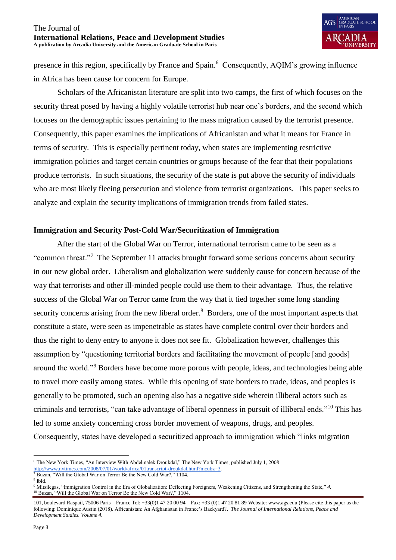presence in this region, specifically by France and Spain.<sup>6</sup> Consequently, AQIM's growing influence in Africa has been cause for concern for Europe.

Scholars of the Africanistan literature are split into two camps, the first of which focuses on the security threat posed by having a highly volatile terrorist hub near one's borders, and the second which focuses on the demographic issues pertaining to the mass migration caused by the terrorist presence. Consequently, this paper examines the implications of Africanistan and what it means for France in terms of security. This is especially pertinent today, when states are implementing restrictive immigration policies and target certain countries or groups because of the fear that their populations produce terrorists. In such situations, the security of the state is put above the security of individuals who are most likely fleeing persecution and violence from terrorist organizations. This paper seeks to analyze and explain the security implications of immigration trends from failed states.

## **Immigration and Security Post-Cold War/Securitization of Immigration**

After the start of the Global War on Terror, international terrorism came to be seen as a "common threat."<sup>7</sup> The September 11 attacks brought forward some serious concerns about security in our new global order. Liberalism and globalization were suddenly cause for concern because of the way that terrorists and other ill-minded people could use them to their advantage. Thus, the relative success of the Global War on Terror came from the way that it tied together some long standing security concerns arising from the new liberal order.<sup>8</sup> Borders, one of the most important aspects that constitute a state, were seen as impenetrable as states have complete control over their borders and thus the right to deny entry to anyone it does not see fit. Globalization however, challenges this assumption by "questioning territorial borders and facilitating the movement of people [and goods] around the world."<sup>9</sup> Borders have become more porous with people, ideas, and technologies being able to travel more easily among states. While this opening of state borders to trade, ideas, and peoples is generally to be promoted, such an opening also has a negative side wherein illiberal actors such as criminals and terrorists, "can take advantage of liberal openness in pursuit of illiberal ends."<sup>10</sup> This has led to some anxiety concerning cross border movement of weapons, drugs, and peoples. Consequently, states have developed a securitized approach to immigration which "links migration

 $\overline{a}$ <sup>6</sup> The New York Times, "An Interview With Abdelmalek Droukdal," The New York Times, published July 1, 2008

[http://www.nytimes.com/2008/07/01/world/africa/01transcript-droukdal.html?mcubz=3.](http://www.nytimes.com/2008/07/01/world/africa/01transcript-droukdal.html?mcubz=3)

<sup>7</sup> Buzan, "Will the Global War on Terror Be the New Cold War?," 1104.

<sup>8</sup> Ibid.

<sup>9</sup> Mitsilegas, "Immigration Control in the Era of Globalization: Deflecting Foreigners, Weakening Citizens, and Strengthening the State," *4*. <sup>10</sup> Buzan, "Will the Global War on Terror Be the New Cold War?," 1104.

<sup>101,</sup> boulevard Raspail, 75006 Paris – France Tel: +33(0)1 47 20 00 94 – Fax: +33 (0)1 47 20 81 89 Website: www.ags.edu (Please cite this paper as the following: Dominique Austin (2018). Africanistan: An Afghanistan in France's Backyard?. *The Journal of International Relations, Peace and Development Studies. Volume 4.*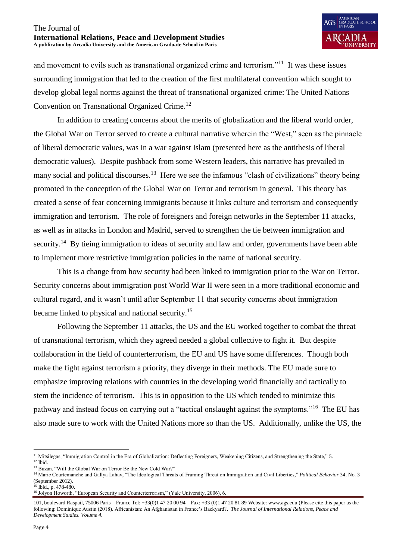and movement to evils such as transnational organized crime and terrorism."<sup>11</sup> It was these issues surrounding immigration that led to the creation of the first multilateral convention which sought to develop global legal norms against the threat of transnational organized crime: The United Nations Convention on Transnational Organized Crime.<sup>12</sup>

In addition to creating concerns about the merits of globalization and the liberal world order, the Global War on Terror served to create a cultural narrative wherein the "West," seen as the pinnacle of liberal democratic values, was in a war against Islam (presented here as the antithesis of liberal democratic values). Despite pushback from some Western leaders, this narrative has prevailed in many social and political discourses.<sup>13</sup> Here we see the infamous "clash of civilizations" theory being promoted in the conception of the Global War on Terror and terrorism in general. This theory has created a sense of fear concerning immigrants because it links culture and terrorism and consequently immigration and terrorism. The role of foreigners and foreign networks in the September 11 attacks, as well as in attacks in London and Madrid, served to strengthen the tie between immigration and security.<sup>14</sup> By tieing immigration to ideas of security and law and order, governments have been able to implement more restrictive immigration policies in the name of national security.

This is a change from how security had been linked to immigration prior to the War on Terror. Security concerns about immigration post World War II were seen in a more traditional economic and cultural regard, and it wasn't until after September 11 that security concerns about immigration became linked to physical and national security.<sup>15</sup>

Following the September 11 attacks, the US and the EU worked together to combat the threat of transnational terrorism, which they agreed needed a global collective to fight it. But despite collaboration in the field of counterterrorism, the EU and US have some differences. Though both make the fight against terrorism a priority, they diverge in their methods. The EU made sure to emphasize improving relations with countries in the developing world financially and tactically to stem the incidence of terrorism. This is in opposition to the US which tended to minimize this pathway and instead focus on carrying out a "tactical onslaught against the symptoms."<sup>16</sup> The EU has also made sure to work with the United Nations more so than the US. Additionally, unlike the US, the

 $\overline{a}$ 

<sup>&</sup>lt;sup>11</sup> Mitsilegas, "Immigration Control in the Era of Globalization: Deflecting Foreigners, Weakening Citizens, and Strengthening the State," 5.

 $12$  Ibid.

<sup>&</sup>lt;sup>13</sup> Buzan, "Will the Global War on Terror Be the New Cold War?"

<sup>14</sup> Marie Courtemanche and Gallya Lahav, "The Ideological Threats of Framing Threat on Immigration and Civil Liberties," *Political Behavior* 34, No. 3 (September 2012). <sup>15</sup> Ibid., p. 478-480.

<sup>&</sup>lt;sup>16</sup> Jolyon Howorth, "European Security and Counterterrorism," (Yale University, 2006), 6.

<sup>101,</sup> boulevard Raspail, 75006 Paris – France Tel: +33(0)1 47 20 00 94 – Fax: +33 (0)1 47 20 81 89 Website: www.ags.edu (Please cite this paper as the following: Dominique Austin (2018). Africanistan: An Afghanistan in France's Backyard?. *The Journal of International Relations, Peace and Development Studies. Volume 4.*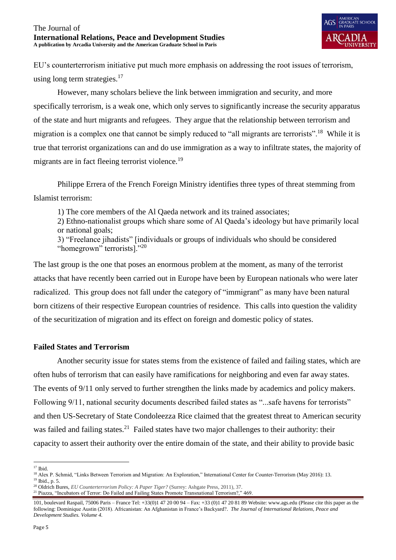EU's counterterrorism initiative put much more emphasis on addressing the root issues of terrorism, using long term strategies. $17$ 

However, many scholars believe the link between immigration and security, and more specifically terrorism, is a weak one, which only serves to significantly increase the security apparatus of the state and hurt migrants and refugees. They argue that the relationship between terrorism and migration is a complex one that cannot be simply reduced to "all migrants are terrorists".<sup>18</sup> While it is true that terrorist organizations can and do use immigration as a way to infiltrate states, the majority of migrants are in fact fleeing terrorist violence.<sup>19</sup>

Philippe Errera of the French Foreign Ministry identifies three types of threat stemming from Islamist terrorism:

1) The core members of the Al Qaeda network and its trained associates;

2) Ethno-nationalist groups which share some of Al Qaeda's ideology but have primarily local or national goals;

3) "Freelance jihadists" [individuals or groups of individuals who should be considered "homegrown" terrorists]."<sup>20</sup>

The last group is the one that poses an enormous problem at the moment, as many of the terrorist attacks that have recently been carried out in Europe have been by European nationals who were later radicalized. This group does not fall under the category of "immigrant" as many have been natural born citizens of their respective European countries of residence. This calls into question the validity of the securitization of migration and its effect on foreign and domestic policy of states.

## **Failed States and Terrorism**

Another security issue for states stems from the existence of failed and failing states, which are often hubs of terrorism that can easily have ramifications for neighboring and even far away states. The events of 9/11 only served to further strengthen the links made by academics and policy makers. Following 9/11, national security documents described failed states as "...safe havens for terrorists" and then US-Secretary of State Condoleezza Rice claimed that the greatest threat to American security was failed and failing states.<sup>21</sup> Failed states have two major challenges to their authority: their capacity to assert their authority over the entire domain of the state, and their ability to provide basic

 $\overline{a}$ <sup>17</sup> Ibid.

<sup>18</sup> Alex P. Schmid, "Links Between Terrorism and Migration: An Exploration," International Center for Counter-Terrorism (May 2016): 13. <sup>19</sup> Ibid., p. 5.

<sup>20</sup> Oldrich Bures, *EU Counterterrorism Policy: A Paper Tiger?* (Surrey: Ashgate Press, 2011), 37.

<sup>21</sup> Piazza, "Incubators of Terror: Do Failed and Failing States Promote Transnational Terrorism?," 469.

<sup>101,</sup> boulevard Raspail, 75006 Paris – France Tel: +33(0)1 47 20 00 94 – Fax: +33 (0)1 47 20 81 89 Website: www.ags.edu (Please cite this paper as the following: Dominique Austin (2018). Africanistan: An Afghanistan in France's Backyard?. *The Journal of International Relations, Peace and Development Studies. Volume 4.*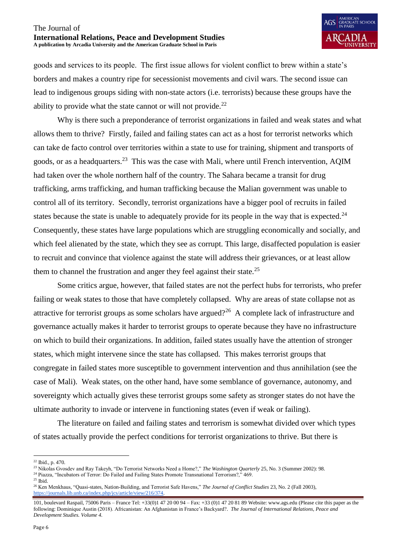goods and services to its people. The first issue allows for violent conflict to brew within a state's borders and makes a country ripe for secessionist movements and civil wars. The second issue can lead to indigenous groups siding with non-state actors (i.e. terrorists) because these groups have the ability to provide what the state cannot or will not provide.<sup>22</sup>

Why is there such a preponderance of terrorist organizations in failed and weak states and what allows them to thrive? Firstly, failed and failing states can act as a host for terrorist networks which can take de facto control over territories within a state to use for training, shipment and transports of goods, or as a headquarters.<sup>23</sup> This was the case with Mali, where until French intervention, AQIM had taken over the whole northern half of the country. The Sahara became a transit for drug trafficking, arms trafficking, and human trafficking because the Malian government was unable to control all of its territory. Secondly, terrorist organizations have a bigger pool of recruits in failed states because the state is unable to adequately provide for its people in the way that is expected.<sup>24</sup> Consequently, these states have large populations which are struggling economically and socially, and which feel alienated by the state, which they see as corrupt. This large, disaffected population is easier to recruit and convince that violence against the state will address their grievances, or at least allow them to channel the frustration and anger they feel against their state.<sup>25</sup>

Some critics argue, however, that failed states are not the perfect hubs for terrorists, who prefer failing or weak states to those that have completely collapsed. Why are areas of state collapse not as attractive for terrorist groups as some scholars have argued?<sup>26</sup> A complete lack of infrastructure and governance actually makes it harder to terrorist groups to operate because they have no infrastructure on which to build their organizations. In addition, failed states usually have the attention of stronger states, which might intervene since the state has collapsed. This makes terrorist groups that congregate in failed states more susceptible to government intervention and thus annihilation (see the case of Mali). Weak states, on the other hand, have some semblance of governance, autonomy, and sovereignty which actually gives these terrorist groups some safety as stronger states do not have the ultimate authority to invade or intervene in functioning states (even if weak or failing).

The literature on failed and failing states and terrorism is somewhat divided over which types of states actually provide the perfect conditions for terrorist organizations to thrive. But there is

 $\overline{a}$  $22$  Ibid., p. 470.

<sup>&</sup>lt;sup>23</sup> Nikolas Gvosdev and Ray Takeyh, "Do Terrorist Networks Need a Home?," *The Washington Quarterly* 25, No. 3 (Summer 2002): 98.

<sup>&</sup>lt;sup>24</sup> Piazza, "Incubators of Terror: Do Failed and Failing States Promote Transnational Terrorism?," 469.

 $25$  Ibid.

<sup>26</sup> Ken Menkhaus, "Quasi-states, Nation-Building, and Terrorist Safe Havens," *The Journal of Conflict Studies* 23, No. 2 (Fall 2003), [https://journals.lib.unb.ca/index.php/jcs/article/view/216/374.](https://journals.lib.unb.ca/index.php/jcs/article/view/216/374)

<sup>101,</sup> boulevard Raspail, 75006 Paris – France Tel: +33(0)1 47 20 00 94 – Fax: +33 (0)1 47 20 81 89 Website: www.ags.edu (Please cite this paper as the following: Dominique Austin (2018). Africanistan: An Afghanistan in France's Backyard?. *The Journal of International Relations, Peace and Development Studies. Volume 4.*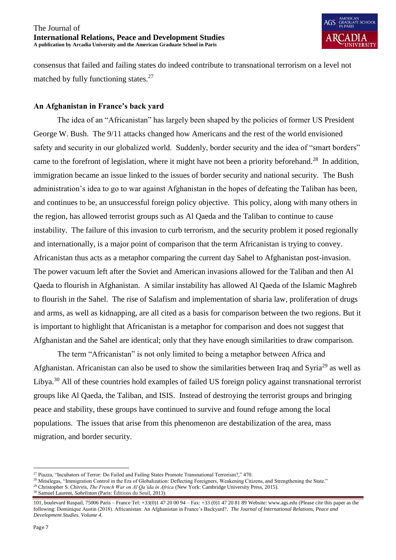consensus that failed and failing states do indeed contribute to transnational terrorism on a level not matched by fully functioning states.<sup>27</sup>

## **An Afghanistan in France's back yard**

The idea of an "Africanistan" has largely been shaped by the policies of former US President George W. Bush. The 9/11 attacks changed how Americans and the rest of the world envisioned safety and security in our globalized world. Suddenly, border security and the idea of "smart borders" came to the forefront of legislation, where it might have not been a priority beforehand.<sup>28</sup> In addition, immigration became an issue linked to the issues of border security and national security. The Bush administration's idea to go to war against Afghanistan in the hopes of defeating the Taliban has been, and continues to be, an unsuccessful foreign policy objective. This policy, along with many others in the region, has allowed terrorist groups such as Al Qaeda and the Taliban to continue to cause instability. The failure of this invasion to curb terrorism, and the security problem it posed regionally and internationally, is a major point of comparison that the term Africanistan is trying to convey. Africanistan thus acts as a metaphor comparing the current day Sahel to Afghanistan post-invasion. The power vacuum left after the Soviet and American invasions allowed for the Taliban and then Al Qaeda to flourish in Afghanistan. A similar instability has allowed Al Qaeda of the Islamic Maghreb to flourish in the Sahel. The rise of Salafism and implementation of sharia law, proliferation of drugs and arms, as well as kidnapping, are all cited as a basis for comparison between the two regions. But it is important to highlight that Africanistan is a metaphor for comparison and does not suggest that Afghanistan and the Sahel are identical; only that they have enough similarities to draw comparison.

The term "Africanistan" is not only limited to being a metaphor between Africa and Afghanistan. Africanistan can also be used to show the similarities between Iraq and Syria<sup>29</sup> as well as Libya.<sup>30</sup> All of these countries hold examples of failed US foreign policy against transnational terrorist groups like Al Qaeda, the Taliban, and ISIS. Instead of destroying the terrorist groups and bringing peace and stability, these groups have continued to survive and found refuge among the local populations. The issues that arise from this phenomenon are destabilization of the area, mass migration, and border security.

<sup>30</sup> Samuel Laurent, *Sahelistan* (Paris: Éditions du Seuil, 2013).

 $\overline{a}$ <sup>27</sup> Piazza, "Incubators of Terror: Do Failed and Failing States Promote Transnational Terrorism?," 470.

<sup>&</sup>lt;sup>28</sup> Mitsilegas, "Immigration Control in the Era of Globalization: Deflecting Foreigners, Weakening Citizens, and Strengthening the State."

<sup>&</sup>lt;sup>29</sup> Christopher S. Chivvis, *The French War on Al Qa'ida in Africa* (New York: Cambridge University Press, 2015).

<sup>101,</sup> boulevard Raspail, 75006 Paris – France Tel: +33(0)1 47 20 00 94 – Fax: +33 (0)1 47 20 81 89 Website: www.ags.edu (Please cite this paper as the following: Dominique Austin (2018). Africanistan: An Afghanistan in France's Backyard?. *The Journal of International Relations, Peace and Development Studies. Volume 4.*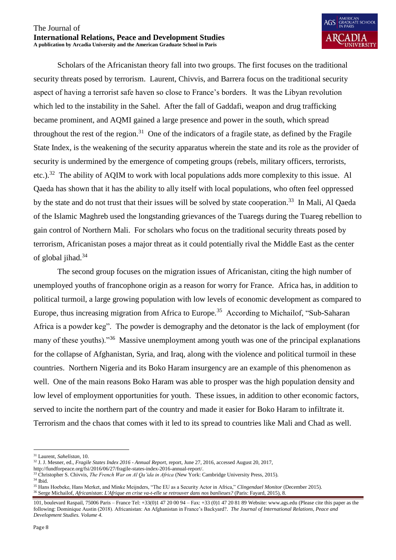

Scholars of the Africanistan theory fall into two groups. The first focuses on the traditional security threats posed by terrorism. Laurent, Chivvis, and Barrera focus on the traditional security aspect of having a terrorist safe haven so close to France's borders. It was the Libyan revolution which led to the instability in the Sahel. After the fall of Gaddafi, weapon and drug trafficking became prominent, and AQMI gained a large presence and power in the south, which spread throughout the rest of the region.<sup>31</sup> One of the indicators of a fragile state, as defined by the Fragile State Index, is the weakening of the security apparatus wherein the state and its role as the provider of security is undermined by the emergence of competing groups (rebels, military officers, terrorists, etc.).<sup>32</sup> The ability of AQIM to work with local populations adds more complexity to this issue. Al Qaeda has shown that it has the ability to ally itself with local populations, who often feel oppressed by the state and do not trust that their issues will be solved by state cooperation.<sup>33</sup> In Mali, Al Qaeda of the Islamic Maghreb used the longstanding grievances of the Tuaregs during the Tuareg rebellion to gain control of Northern Mali. For scholars who focus on the traditional security threats posed by terrorism, Africanistan poses a major threat as it could potentially rival the Middle East as the center of global jihad.<sup>34</sup>

The second group focuses on the migration issues of Africanistan, citing the high number of unemployed youths of francophone origin as a reason for worry for France. Africa has, in addition to political turmoil, a large growing population with low levels of economic development as compared to Europe, thus increasing migration from Africa to Europe.<sup>35</sup> According to Michailof, "Sub-Saharan Africa is a powder keg". The powder is demography and the detonator is the lack of employment (for many of these youths)."<sup>36</sup> Massive unemployment among youth was one of the principal explanations for the collapse of Afghanistan, Syria, and Iraq, along with the violence and political turmoil in these countries. Northern Nigeria and its Boko Haram insurgency are an example of this phenomenon as well. One of the main reasons Boko Haram was able to prosper was the high population density and low level of employment opportunities for youth. These issues, in addition to other economic factors, served to incite the northern part of the country and made it easier for Boko Haram to infiltrate it. Terrorism and the chaos that comes with it led to its spread to countries like Mali and Chad as well.

 $\overline{a}$ 

<sup>31</sup> Laurent, *Sahelistan*, 10.

<sup>32</sup> J. J. Mesner, ed., *Fragile States Index 2016 - Annual Report,* report, June 27, 2016, accessed August 20, 2017,

http://fundforpeace.org/fsi/2016/06/27/fragile-states-index-2016-annual-report/.

<sup>33</sup> Christopher S. Chivvis, *The French War on Al Qa'ida in Africa* (New York: Cambridge University Press, 2015).

 $^{34}$  Ibid.

<sup>35</sup> Hans Hoebeke, Hans Merket, and Minke Meijnders, "The EU as a Security Actor in Africa," *Clingendael Monitor* (December 2015). <sup>36</sup> Serge Michailof, *Africanistan*: *L'Afrique en crise va-t-elle se retrouver dans nos banlieues?* (Paris: Fayard, 2015), 8.

<sup>101,</sup> boulevard Raspail, 75006 Paris – France Tel: +33(0)1 47 20 00 94 – Fax: +33 (0)1 47 20 81 89 Website: www.ags.edu (Please cite this paper as the following: Dominique Austin (2018). Africanistan: An Afghanistan in France's Backyard?. *The Journal of International Relations, Peace and Development Studies. Volume 4.*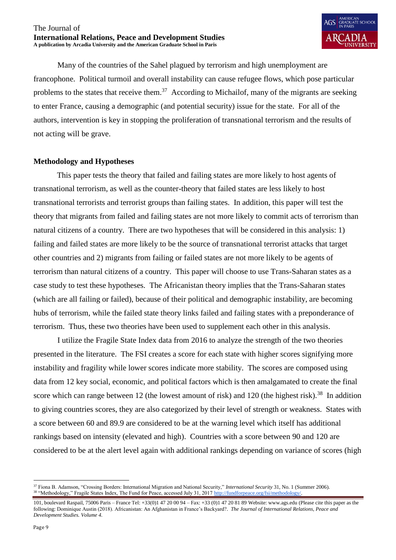

Many of the countries of the Sahel plagued by terrorism and high unemployment are francophone. Political turmoil and overall instability can cause refugee flows, which pose particular problems to the states that receive them.<sup>37</sup> According to Michailof, many of the migrants are seeking to enter France, causing a demographic (and potential security) issue for the state. For all of the authors, intervention is key in stopping the proliferation of transnational terrorism and the results of not acting will be grave.

## **Methodology and Hypotheses**

This paper tests the theory that failed and failing states are more likely to host agents of transnational terrorism, as well as the counter-theory that failed states are less likely to host transnational terrorists and terrorist groups than failing states. In addition, this paper will test the theory that migrants from failed and failing states are not more likely to commit acts of terrorism than natural citizens of a country. There are two hypotheses that will be considered in this analysis: 1) failing and failed states are more likely to be the source of transnational terrorist attacks that target other countries and 2) migrants from failing or failed states are not more likely to be agents of terrorism than natural citizens of a country. This paper will choose to use Trans-Saharan states as a case study to test these hypotheses. The Africanistan theory implies that the Trans-Saharan states (which are all failing or failed), because of their political and demographic instability, are becoming hubs of terrorism, while the failed state theory links failed and failing states with a preponderance of terrorism. Thus, these two theories have been used to supplement each other in this analysis.

I utilize the Fragile State Index data from 2016 to analyze the strength of the two theories presented in the literature. The FSI creates a score for each state with higher scores signifying more instability and fragility while lower scores indicate more stability. The scores are composed using data from 12 key social, economic, and political factors which is then amalgamated to create the final score which can range between 12 (the lowest amount of risk) and 120 (the highest risk).<sup>38</sup> In addition to giving countries scores, they are also categorized by their level of strength or weakness. States with a score between 60 and 89.9 are considered to be at the warning level which itself has additional rankings based on intensity (elevated and high). Countries with a score between 90 and 120 are considered to be at the alert level again with additional rankings depending on variance of scores (high

 $\overline{a}$ <sup>37</sup> Fiona B. Adamson, "Crossing Borders: International Migration and National Security," *International Security* 31, No. 1 (Summer 2006). <sup>38</sup> "Methodology," Fragile States Index, The Fund for Peace, accessed July 31, 2017 http://fundforpeace.org/fsi/methodolog

<sup>101,</sup> boulevard Raspail, 75006 Paris – France Tel: +33(0)1 47 20 00 94 – Fax: +33 (0)1 47 20 81 89 Website: www.ags.edu (Please cite this paper as the following: Dominique Austin (2018). Africanistan: An Afghanistan in France's Backyard?. *The Journal of International Relations, Peace and Development Studies. Volume 4.*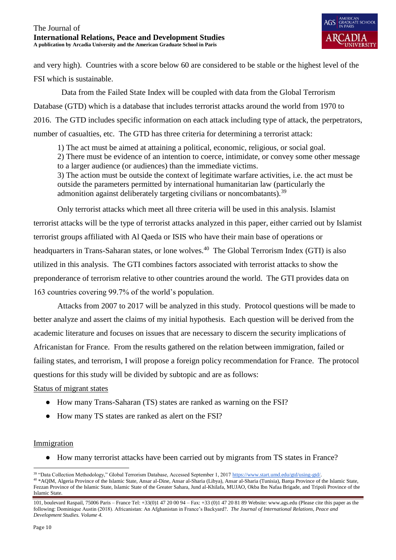and very high). Countries with a score below 60 are considered to be stable or the highest level of the FSI which is sustainable.

 Data from the Failed State Index will be coupled with data from the Global Terrorism Database (GTD) which is a database that includes terrorist attacks around the world from 1970 to 2016. The GTD includes specific information on each attack including type of attack, the perpetrators, number of casualties, etc. The GTD has three criteria for determining a terrorist attack:

1) The act must be aimed at attaining a political, economic, religious, or social goal.

2) There must be evidence of an intention to coerce, intimidate, or convey some other message to a larger audience (or audiences) than the immediate victims.

3) The action must be outside the context of legitimate warfare activities, i.e. the act must be outside the parameters permitted by international humanitarian law (particularly the admonition against deliberately targeting civilians or noncombatants).<sup>39</sup>

Only terrorist attacks which meet all three criteria will be used in this analysis. Islamist terrorist attacks will be the type of terrorist attacks analyzed in this paper, either carried out by Islamist terrorist groups affiliated with Al Qaeda or ISIS who have their main base of operations or headquarters in Trans-Saharan states, or lone wolves.<sup>40</sup> The Global Terrorism Index (GTI) is also utilized in this analysis. The GTI combines factors associated with terrorist attacks to show the preponderance of terrorism relative to other countries around the world. The GTI provides data on 163 countries covering 99.7% of the world's population.

Attacks from 2007 to 2017 will be analyzed in this study. Protocol questions will be made to better analyze and assert the claims of my initial hypothesis. Each question will be derived from the academic literature and focuses on issues that are necessary to discern the security implications of Africanistan for France. From the results gathered on the relation between immigration, failed or failing states, and terrorism, I will propose a foreign policy recommendation for France. The protocol questions for this study will be divided by subtopic and are as follows:

## Status of migrant states

- How many Trans-Saharan (TS) states are ranked as warning on the FSI?
- How many TS states are ranked as alert on the FSI?

## Immigration

● How many terrorist attacks have been carried out by migrants from TS states in France?

 $\overline{a}$ <sup>39</sup> "Data Collection Methodology," Global Terrorism Database, Accessed September 1, 201[7 https://www.start.umd.edu/gtd/using-gtd/.](https://www.start.umd.edu/gtd/using-gtd/)

<sup>40</sup> \*AQIM, Algeria Province of the Islamic State, Ansar al-Dine, Ansar al-Sharia (Libya), Ansar al-Sharia (Tunisia), Barqa Province of the Islamic State, Fezzan Province of the Islamic State, Islamic State of the Greater Sahara, Jund al-Khilafa, MUJAO, Okba Ibn Nafaa Brigade, and Tripoli Province of the Islamic State.

<sup>101,</sup> boulevard Raspail, 75006 Paris – France Tel: +33(0)1 47 20 00 94 – Fax: +33 (0)1 47 20 81 89 Website: www.ags.edu (Please cite this paper as the following: Dominique Austin (2018). Africanistan: An Afghanistan in France's Backyard?. *The Journal of International Relations, Peace and Development Studies. Volume 4.*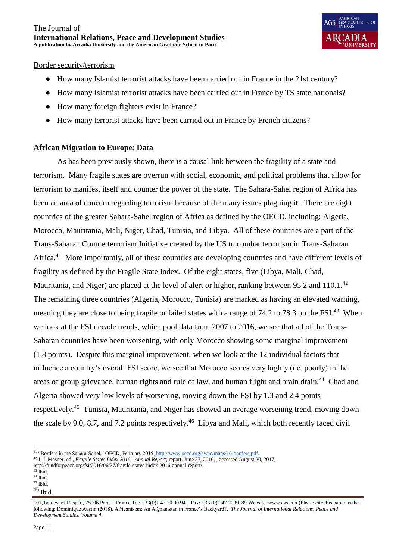## Border security/terrorism

- How many Islamist terrorist attacks have been carried out in France in the 21st century?
- How many Islamist terrorist attacks have been carried out in France by TS state nationals?
- How many foreign fighters exist in France?
- How many terrorist attacks have been carried out in France by French citizens?

## **African Migration to Europe: Data**

As has been previously shown, there is a causal link between the fragility of a state and terrorism. Many fragile states are overrun with social, economic, and political problems that allow for terrorism to manifest itself and counter the power of the state. The Sahara-Sahel region of Africa has been an area of concern regarding terrorism because of the many issues plaguing it. There are eight countries of the greater Sahara-Sahel region of Africa as defined by the OECD, including: Algeria, Morocco, Mauritania, Mali, Niger, Chad, Tunisia, and Libya. All of these countries are a part of the Trans-Saharan Counterterrorism Initiative created by the US to combat terrorism in Trans-Saharan Africa.<sup>41</sup> More importantly, all of these countries are developing countries and have different levels of fragility as defined by the Fragile State Index. Of the eight states, five (Libya, Mali, Chad, Mauritania, and Niger) are placed at the level of alert or higher, ranking between 95.2 and  $110.1.^{42}$ The remaining three countries (Algeria, Morocco, Tunisia) are marked as having an elevated warning, meaning they are close to being fragile or failed states with a range of 74.2 to 78.3 on the FSI.<sup>43</sup> When we look at the FSI decade trends, which pool data from 2007 to 2016, we see that all of the Trans-Saharan countries have been worsening, with only Morocco showing some marginal improvement (1.8 points). Despite this marginal improvement, when we look at the 12 individual factors that influence a country's overall FSI score, we see that Morocco scores very highly (i.e. poorly) in the areas of group grievance, human rights and rule of law, and human flight and brain drain.<sup>44</sup> Chad and Algeria showed very low levels of worsening, moving down the FSI by 1.3 and 2.4 points respectively.<sup>45</sup> Tunisia, Mauritania, and Niger has showed an average worsening trend, moving down the scale by 9.0, 8.7, and 7.2 points respectively.<sup>46</sup> Libya and Mali, which both recently faced civil

 $\overline{a}$ 

<sup>46</sup> Ibid.

<sup>41</sup> "Borders in the Sahara-Sahel," OECD, February 2015[, http://www.oecd.org/swac/maps/16-borders.pdf.](http://www.oecd.org/swac/maps/16-borders.pdf)

<sup>42</sup> J. J. Mesner, ed., *Fragile States Index 2016 - Annual Report,* report, June 27, 2016, , accessed August 20, 2017,

http://fundforpeace.org/fsi/2016/06/27/fragile-states-index-2016-annual-report/.

 $43$  Ibid.

 $44$  Ibid.  $45$  Ibid.

<sup>101,</sup> boulevard Raspail, 75006 Paris – France Tel: +33(0)1 47 20 00 94 – Fax: +33 (0)1 47 20 81 89 Website: www.ags.edu (Please cite this paper as the following: Dominique Austin (2018). Africanistan: An Afghanistan in France's Backyard?. *The Journal of International Relations, Peace and Development Studies. Volume 4.*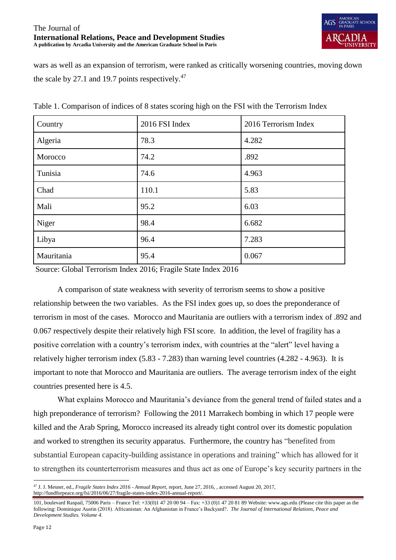

wars as well as an expansion of terrorism, were ranked as critically worsening countries, moving down the scale by 27.1 and 19.7 points respectively. $47$ 

| Country    | 2016 FSI Index | 2016 Terrorism Index |
|------------|----------------|----------------------|
| Algeria    | 78.3           | 4.282                |
| Morocco    | 74.2           | .892                 |
| Tunisia    | 74.6           | 4.963                |
| Chad       | 110.1          | 5.83                 |
| Mali       | 95.2           | 6.03                 |
| Niger      | 98.4           | 6.682                |
| Libya      | 96.4           | 7.283                |
| Mauritania | 95.4           | 0.067                |

Table 1. Comparison of indices of 8 states scoring high on the FSI with the Terrorism Index

Source: Global Terrorism Index 2016; Fragile State Index 2016

A comparison of state weakness with severity of terrorism seems to show a positive relationship between the two variables. As the FSI index goes up, so does the preponderance of terrorism in most of the cases. Morocco and Mauritania are outliers with a terrorism index of .892 and 0.067 respectively despite their relatively high FSI score. In addition, the level of fragility has a positive correlation with a country's terrorism index, with countries at the "alert" level having a relatively higher terrorism index (5.83 - 7.283) than warning level countries (4.282 - 4.963). It is important to note that Morocco and Mauritania are outliers. The average terrorism index of the eight countries presented here is 4.5.

What explains Morocco and Mauritania's deviance from the general trend of failed states and a high preponderance of terrorism? Following the 2011 Marrakech bombing in which 17 people were killed and the Arab Spring, Morocco increased its already tight control over its domestic population and worked to strengthen its security apparatus. Furthermore, the country has "benefited from substantial European capacity-building assistance in operations and training" which has allowed for it to strengthen its counterterrorism measures and thus act as one of Europe's key security partners in the

 $\overline{a}$ <sup>47</sup> J. J. Mesner, ed., *Fragile States Index 2016 - Annual Report,* report, June 27, 2016, , accessed August 20, 2017, http://fundforpeace.org/fsi/2016/06/27/fragile-states-index-2016-annual-report/.

<sup>101,</sup> boulevard Raspail, 75006 Paris – France Tel: +33(0)1 47 20 00 94 – Fax: +33 (0)1 47 20 81 89 Website: www.ags.edu (Please cite this paper as the following: Dominique Austin (2018). Africanistan: An Afghanistan in France's Backyard?. *The Journal of International Relations, Peace and Development Studies. Volume 4.*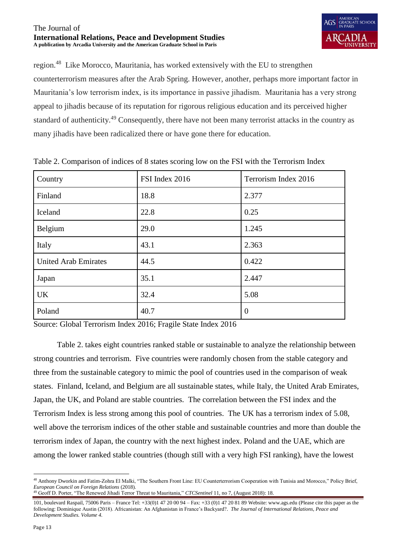

region.<sup>48</sup> Like Morocco, Mauritania, has worked extensively with the EU to strengthen counterterrorism measures after the Arab Spring. However, another, perhaps more important factor in Mauritania's low terrorism index, is its importance in passive jihadism. Mauritania has a very strong appeal to jihadis because of its reputation for rigorous religious education and its perceived higher standard of authenticity.<sup>49</sup> Consequently, there have not been many terrorist attacks in the country as many jihadis have been radicalized there or have gone there for education.

| Country                     | FSI Index 2016 | Terrorism Index 2016 |
|-----------------------------|----------------|----------------------|
| Finland                     | 18.8           | 2.377                |
| Iceland                     | 22.8           | 0.25                 |
| Belgium                     | 29.0           | 1.245                |
| Italy                       | 43.1           | 2.363                |
| <b>United Arab Emirates</b> | 44.5           | 0.422                |
| Japan                       | 35.1           | 2.447                |
| <b>UK</b>                   | 32.4           | 5.08                 |
| Poland                      | 40.7           | $\overline{0}$       |

Table 2. Comparison of indices of 8 states scoring low on the FSI with the Terrorism Index

Source: Global Terrorism Index 2016; Fragile State Index 2016

Table 2. takes eight countries ranked stable or sustainable to analyze the relationship between strong countries and terrorism. Five countries were randomly chosen from the stable category and three from the sustainable category to mimic the pool of countries used in the comparison of weak states. Finland, Iceland, and Belgium are all sustainable states, while Italy, the United Arab Emirates, Japan, the UK, and Poland are stable countries. The correlation between the FSI index and the Terrorism Index is less strong among this pool of countries. The UK has a terrorism index of 5.08, well above the terrorism indices of the other stable and sustainable countries and more than double the terrorism index of Japan, the country with the next highest index. Poland and the UAE, which are among the lower ranked stable countries (though still with a very high FSI ranking), have the lowest

 $\overline{a}$ <sup>48</sup> Anthony Dworkin and Fatim-Zohra El Malki, "The Southern Front Line: EU Counterterrorism Cooperation with Tunisia and Morocco," Policy Brief, *European Council on Foreign Relations* (2018)*.*

<sup>49</sup> Geoff D. Porter, "The Renewed Jihadi Terror Threat to Mauritania," *CTCSentinel* 11, no 7, (August 2018): 18.

<sup>101,</sup> boulevard Raspail, 75006 Paris – France Tel: +33(0)1 47 20 00 94 – Fax: +33 (0)1 47 20 81 89 Website: www.ags.edu (Please cite this paper as the following: Dominique Austin (2018). Africanistan: An Afghanistan in France's Backyard?. *The Journal of International Relations, Peace and Development Studies. Volume 4.*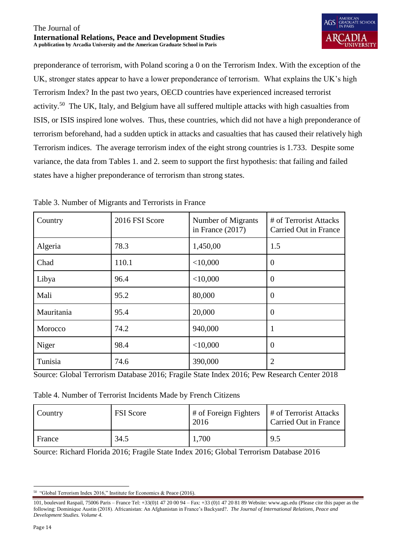preponderance of terrorism, with Poland scoring a 0 on the Terrorism Index. With the exception of the UK, stronger states appear to have a lower preponderance of terrorism. What explains the UK's high Terrorism Index? In the past two years, OECD countries have experienced increased terrorist activity.<sup>50</sup> The UK, Italy, and Belgium have all suffered multiple attacks with high casualties from ISIS, or ISIS inspired lone wolves. Thus, these countries, which did not have a high preponderance of terrorism beforehand, had a sudden uptick in attacks and casualties that has caused their relatively high Terrorism indices. The average terrorism index of the eight strong countries is 1.733. Despite some variance, the data from Tables 1. and 2. seem to support the first hypothesis: that failing and failed states have a higher preponderance of terrorism than strong states.

| Country    | 2016 FSI Score | Number of Migrants<br>in France $(2017)$ | # of Terrorist Attacks<br>Carried Out in France |
|------------|----------------|------------------------------------------|-------------------------------------------------|
| Algeria    | 78.3           | 1,450,00                                 | 1.5                                             |
| Chad       | 110.1          | $<$ 10,000                               | $\overline{0}$                                  |
| Libya      | 96.4           | $<$ 10,000                               | $\overline{0}$                                  |
| Mali       | 95.2           | 80,000                                   | $\theta$                                        |
| Mauritania | 95.4           | 20,000                                   | $\theta$                                        |
| Morocco    | 74.2           | 940,000                                  |                                                 |
| Niger      | 98.4           | $<$ 10,000                               | $\overline{0}$                                  |
| Tunisia    | 74.6           | 390,000                                  | 2                                               |

Table 3. Number of Migrants and Terrorists in France

Source: Global Terrorism Database 2016; Fragile State Index 2016; Pew Research Center 2018

|  | Table 4. Number of Terrorist Incidents Made by French Citizens |  |  |
|--|----------------------------------------------------------------|--|--|
|  |                                                                |  |  |

| Country | <b>FSI</b> Score | $\#$ of Foreign Fighters<br>2016 | # of Terrorist Attacks<br>Carried Out in France |
|---------|------------------|----------------------------------|-------------------------------------------------|
| France  | 34.5             | 1,700                            | 9.5                                             |

Source: Richard Florida 2016; Fragile State Index 2016; Global Terrorism Database 2016

 50 "Global Terrorism Index 2016," Institute for Economics & Peace (2016).

<sup>101,</sup> boulevard Raspail, 75006 Paris – France Tel: +33(0)1 47 20 00 94 – Fax: +33 (0)1 47 20 81 89 Website: www.ags.edu (Please cite this paper as the following: Dominique Austin (2018). Africanistan: An Afghanistan in France's Backyard?. *The Journal of International Relations, Peace and Development Studies. Volume 4.*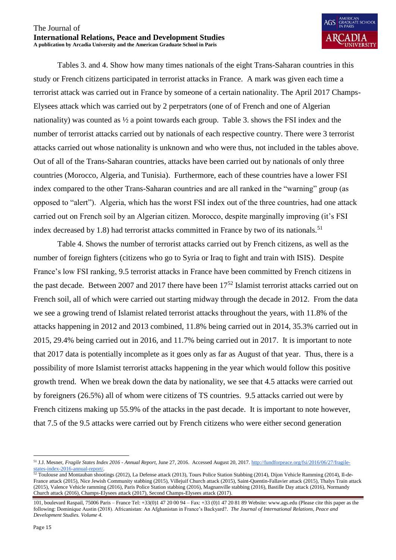

Tables 3. and 4. Show how many times nationals of the eight Trans-Saharan countries in this study or French citizens participated in terrorist attacks in France. A mark was given each time a terrorist attack was carried out in France by someone of a certain nationality. The April 2017 Champs-Elysees attack which was carried out by 2 perpetrators (one of of French and one of Algerian nationality) was counted as ½ a point towards each group. Table 3. shows the FSI index and the number of terrorist attacks carried out by nationals of each respective country. There were 3 terrorist attacks carried out whose nationality is unknown and who were thus, not included in the tables above. Out of all of the Trans-Saharan countries, attacks have been carried out by nationals of only three countries (Morocco, Algeria, and Tunisia). Furthermore, each of these countries have a lower FSI index compared to the other Trans-Saharan countries and are all ranked in the "warning" group (as opposed to "alert"). Algeria, which has the worst FSI index out of the three countries, had one attack carried out on French soil by an Algerian citizen. Morocco, despite marginally improving (it's FSI index decreased by 1.8) had terrorist attacks committed in France by two of its nationals.<sup>51</sup>

Table 4. Shows the number of terrorist attacks carried out by French citizens, as well as the number of foreign fighters (citizens who go to Syria or Iraq to fight and train with ISIS). Despite France's low FSI ranking, 9.5 terrorist attacks in France have been committed by French citizens in the past decade. Between 2007 and 2017 there have been  $17<sup>52</sup>$  Islamist terrorist attacks carried out on French soil, all of which were carried out starting midway through the decade in 2012. From the data we see a growing trend of Islamist related terrorist attacks throughout the years, with 11.8% of the attacks happening in 2012 and 2013 combined, 11.8% being carried out in 2014, 35.3% carried out in 2015, 29.4% being carried out in 2016, and 11.7% being carried out in 2017. It is important to note that 2017 data is potentially incomplete as it goes only as far as August of that year. Thus, there is a possibility of more Islamist terrorist attacks happening in the year which would follow this positive growth trend. When we break down the data by nationality, we see that 4.5 attacks were carried out by foreigners (26.5%) all of whom were citizens of TS countries. 9.5 attacks carried out were by French citizens making up 55.9% of the attacks in the past decade. It is important to note however, that 7.5 of the 9.5 attacks were carried out by French citizens who were either second generation

 $\overline{a}$ 

<sup>51</sup> J.J. Mesner, *Fragile States Index 2016 - Annual Report,* June 27, 2016. Accessed August 20, 2017[. http://fundforpeace.org/fsi/2016/06/27/fragile](http://fundforpeace.org/fsi/2016/06/27/fragile-states-index-2016-annual-report/)[states-index-2016-annual-report/.](http://fundforpeace.org/fsi/2016/06/27/fragile-states-index-2016-annual-report/)

<sup>&</sup>lt;sup>52</sup> Toulouse and Montauban shootings (2012), La Defense attack (2013), Tours Police Station Stabbing (2014), Dijon Vehicle Ramming (2014), Il-de-France attack (2015), Nice Jewish Community stabbing (2015), Villejuif Church attack (2015), Saint-Quentin-Fallavier attack (2015), Thalys Train attack (2015), Valence Vehicle ramming (2016), Paris Police Station stabbing (2016), Magnanville stabbing (2016), Bastille Day attack (2016), Normandy Church attack (2016), Champs-Elysees attack (2017), Second Champs-Elysees attack (2017).

<sup>101,</sup> boulevard Raspail, 75006 Paris – France Tel: +33(0)1 47 20 00 94 – Fax: +33 (0)1 47 20 81 89 Website: www.ags.edu (Please cite this paper as the following: Dominique Austin (2018). Africanistan: An Afghanistan in France's Backyard?. *The Journal of International Relations, Peace and Development Studies. Volume 4.*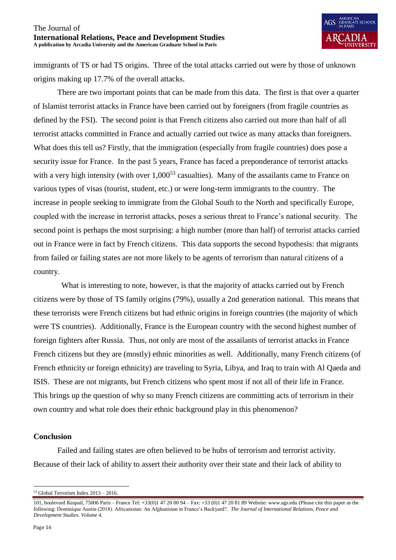immigrants of TS or had TS origins. Three of the total attacks carried out were by those of unknown origins making up 17.7% of the overall attacks.

There are two important points that can be made from this data. The first is that over a quarter of Islamist terrorist attacks in France have been carried out by foreigners (from fragile countries as defined by the FSI). The second point is that French citizens also carried out more than half of all terrorist attacks committed in France and actually carried out twice as many attacks than foreigners. What does this tell us? Firstly, that the immigration (especially from fragile countries) does pose a security issue for France. In the past 5 years, France has faced a preponderance of terrorist attacks with a very high intensity (with over  $1,000^{53}$  casualties). Many of the assailants came to France on various types of visas (tourist, student, etc.) or were long-term immigrants to the country. The increase in people seeking to immigrate from the Global South to the North and specifically Europe, coupled with the increase in terrorist attacks, poses a serious threat to France's national security. The second point is perhaps the most surprising: a high number (more than half) of terrorist attacks carried out in France were in fact by French citizens. This data supports the second hypothesis: that migrants from failed or failing states are not more likely to be agents of terrorism than natural citizens of a country.

What is interesting to note, however, is that the majority of attacks carried out by French citizens were by those of TS family origins (79%), usually a 2nd generation national. This means that these terrorists were French citizens but had ethnic origins in foreign countries (the majority of which were TS countries). Additionally, France is the European country with the second highest number of foreign fighters after Russia. Thus, not only are most of the assailants of terrorist attacks in France French citizens but they are (mostly) ethnic minorities as well. Additionally, many French citizens (of French ethnicity or foreign ethnicity) are traveling to Syria, Libya, and Iraq to train with Al Qaeda and ISIS. These are not migrants, but French citizens who spent most if not all of their life in France. This brings up the question of why so many French citizens are committing acts of terrorism in their own country and what role does their ethnic background play in this phenomenon?

## **Conclusion**

Failed and failing states are often believed to be hubs of terrorism and terrorist activity. Because of their lack of ability to assert their authority over their state and their lack of ability to

 $\overline{a}$  $53$  Global Terrorism Index  $2013 - 2016$ .

<sup>101,</sup> boulevard Raspail, 75006 Paris – France Tel: +33(0)1 47 20 00 94 – Fax: +33 (0)1 47 20 81 89 Website: www.ags.edu (Please cite this paper as the following: Dominique Austin (2018). Africanistan: An Afghanistan in France's Backyard?. *The Journal of International Relations, Peace and Development Studies. Volume 4.*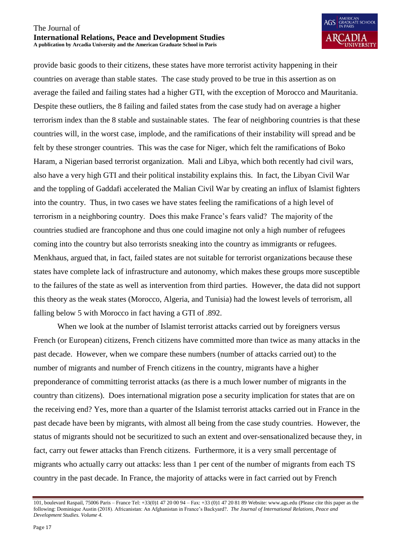

provide basic goods to their citizens, these states have more terrorist activity happening in their countries on average than stable states. The case study proved to be true in this assertion as on average the failed and failing states had a higher GTI, with the exception of Morocco and Mauritania. Despite these outliers, the 8 failing and failed states from the case study had on average a higher terrorism index than the 8 stable and sustainable states. The fear of neighboring countries is that these countries will, in the worst case, implode, and the ramifications of their instability will spread and be felt by these stronger countries. This was the case for Niger, which felt the ramifications of Boko Haram, a Nigerian based terrorist organization. Mali and Libya, which both recently had civil wars, also have a very high GTI and their political instability explains this. In fact, the Libyan Civil War and the toppling of Gaddafi accelerated the Malian Civil War by creating an influx of Islamist fighters into the country. Thus, in two cases we have states feeling the ramifications of a high level of terrorism in a neighboring country. Does this make France's fears valid? The majority of the countries studied are francophone and thus one could imagine not only a high number of refugees coming into the country but also terrorists sneaking into the country as immigrants or refugees. Menkhaus, argued that, in fact, failed states are not suitable for terrorist organizations because these states have complete lack of infrastructure and autonomy, which makes these groups more susceptible to the failures of the state as well as intervention from third parties. However, the data did not support this theory as the weak states (Morocco, Algeria, and Tunisia) had the lowest levels of terrorism, all falling below 5 with Morocco in fact having a GTI of .892.

When we look at the number of Islamist terrorist attacks carried out by foreigners versus French (or European) citizens, French citizens have committed more than twice as many attacks in the past decade. However, when we compare these numbers (number of attacks carried out) to the number of migrants and number of French citizens in the country, migrants have a higher preponderance of committing terrorist attacks (as there is a much lower number of migrants in the country than citizens). Does international migration pose a security implication for states that are on the receiving end? Yes, more than a quarter of the Islamist terrorist attacks carried out in France in the past decade have been by migrants, with almost all being from the case study countries. However, the status of migrants should not be securitized to such an extent and over-sensationalized because they, in fact, carry out fewer attacks than French citizens. Furthermore, it is a very small percentage of migrants who actually carry out attacks: less than 1 per cent of the number of migrants from each TS country in the past decade. In France, the majority of attacks were in fact carried out by French

<sup>101,</sup> boulevard Raspail, 75006 Paris – France Tel: +33(0)1 47 20 00 94 – Fax: +33 (0)1 47 20 81 89 Website: www.ags.edu (Please cite this paper as the following: Dominique Austin (2018). Africanistan: An Afghanistan in France's Backyard?. *The Journal of International Relations, Peace and Development Studies. Volume 4.*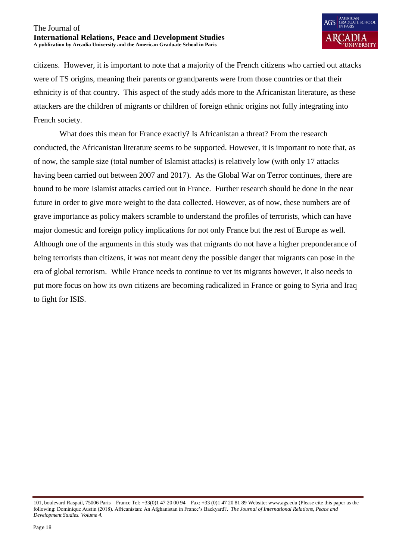

citizens. However, it is important to note that a majority of the French citizens who carried out attacks were of TS origins, meaning their parents or grandparents were from those countries or that their ethnicity is of that country. This aspect of the study adds more to the Africanistan literature, as these attackers are the children of migrants or children of foreign ethnic origins not fully integrating into French society.

What does this mean for France exactly? Is Africanistan a threat? From the research conducted, the Africanistan literature seems to be supported. However, it is important to note that, as of now, the sample size (total number of Islamist attacks) is relatively low (with only 17 attacks having been carried out between 2007 and 2017). As the Global War on Terror continues, there are bound to be more Islamist attacks carried out in France. Further research should be done in the near future in order to give more weight to the data collected. However, as of now, these numbers are of grave importance as policy makers scramble to understand the profiles of terrorists, which can have major domestic and foreign policy implications for not only France but the rest of Europe as well. Although one of the arguments in this study was that migrants do not have a higher preponderance of being terrorists than citizens, it was not meant deny the possible danger that migrants can pose in the era of global terrorism. While France needs to continue to vet its migrants however, it also needs to put more focus on how its own citizens are becoming radicalized in France or going to Syria and Iraq to fight for ISIS.

<sup>101,</sup> boulevard Raspail, 75006 Paris – France Tel: +33(0)1 47 20 00 94 – Fax: +33 (0)1 47 20 81 89 Website: www.ags.edu (Please cite this paper as the following: Dominique Austin (2018). Africanistan: An Afghanistan in France's Backyard?. *The Journal of International Relations, Peace and Development Studies. Volume 4.*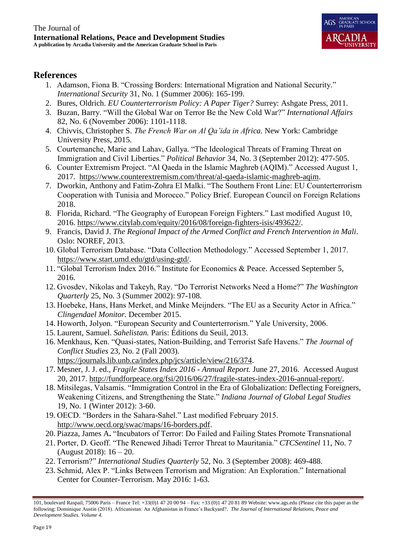

## **References**

- 1. Adamson, Fiona B. "Crossing Borders: International Migration and National Security." *International Security* 31, No. 1 (Summer 2006): 165-199.
- 2. Bures, Oldrich. *EU Counterterrorism Policy: A Paper Tiger?* Surrey: Ashgate Press, 2011.
- 3. Buzan, Barry. "Will the Global War on Terror Be the New Cold War?" *International Affairs* 82, No. 6 (November 2006): 1101-1118.
- 4. Chivvis, Christopher S. *The French War on Al Qa'ida in Africa.* New York: Cambridge University Press, 2015.
- 5. Courtemanche, Marie and Lahav, Gallya. "The Ideological Threats of Framing Threat on Immigration and Civil Liberties." *Political Behavior* 34, No. 3 (September 2012): 477-505.
- 6. Counter Extremism Project. "Al Qaeda in the Islamic Maghreb (AQIM)." Accessed August 1, 2017. [https://www.counterextremism.com/threat/al-qaeda-islamic-maghreb-aqim.](https://www.counterextremism.com/threat/al-qaeda-islamic-maghreb-aqim)
- 7. Dworkin, Anthony and Fatim-Zohra El Malki. "The Southern Front Line: EU Counterterrorism Cooperation with Tunisia and Morocco." Policy Brief. European Council on Foreign Relations 2018.
- 8. Florida, Richard. "The Geography of European Foreign Fighters." Last modified August 10, 2016. [https://www.citylab.com/equity/2016/08/foreign-fighters-isis/493622/.](https://www.citylab.com/equity/2016/08/foreign-fighters-isis/493622/)
- 9. Francis, David J. *The Regional Impact of the Armed Conflict and French Intervention in Mali*. Oslo: NOREF, 2013.
- 10. Global Terrorism Database. "Data Collection Methodology." Accessed September 1, 2017. [https://www.start.umd.edu/gtd/using-gtd/.](https://www.start.umd.edu/gtd/using-gtd/)
- 11. "Global Terrorism Index 2016." Institute for Economics & Peace. Accessed September 5, 2016.
- 12. Gvosdev, Nikolas and Takeyh, Ray. "Do Terrorist Networks Need a Home?" *The Washington Quarterly* 25, No. 3 (Summer 2002): 97-108.
- 13. Hoebeke, Hans, Hans Merket, and Minke Meijnders. "The EU as a Security Actor in Africa." *Clingendael Monitor.* December 2015.
- 14. Howorth, Jolyon. "European Security and Counterterrorism." Yale University, 2006.
- 15. Laurent, Samuel. *Sahelistan.* Paris: Éditions du Seuil, 2013.
- 16. Menkhaus, Ken. "Quasi-states, Nation-Building, and Terrorist Safe Havens." *The Journal of Conflict Studies* 23, No. 2 (Fall 2003). [https://journals.lib.unb.ca/index.php/jcs/article/view/216/374.](https://journals.lib.unb.ca/index.php/jcs/article/view/216/374)
- 17. Mesner, J. J. ed., *Fragile States Index 2016 - Annual Report.* June 27, 2016. Accessed August 20, 2017. [http://fundforpeace.org/fsi/2016/06/27/fragile-states-index-2016-annual-report/.](http://fundforpeace.org/fsi/2016/06/27/fragile-states-index-2016-annual-report/)
- 18. Mitsilegas, Valsamis. "Immigration Control in the Era of Globalization: Deflecting Foreigners, Weakening Citizens, and Strengthening the State." *Indiana Journal of Global Legal Studies* 19, No. 1 (Winter 2012): 3-60.
- 19. OECD. "Borders in the Sahara-Sahel." Last modified February 2015. [http://www.oecd.org/swac/maps/16-borders.pdf.](http://www.oecd.org/swac/maps/16-borders.pdf)
- 20. Piazza, James A**.** "Incubators of Terror: Do Failed and Failing States Promote Transnational
- 21. Porter, D. Geoff. "The Renewed Jihadi Terror Threat to Mauritania." *CTCSentinel* 11, No. 7 (August 2018): 16 – 20.
- 22. Terrorism?" *International Studies Quarterly* 52, No. 3 (September 2008): 469-488.
- 23. Schmid, Alex P. "Links Between Terrorism and Migration: An Exploration." International Center for Counter-Terrorism. May 2016: 1-63.

<sup>101,</sup> boulevard Raspail, 75006 Paris – France Tel: +33(0)1 47 20 00 94 – Fax: +33 (0)1 47 20 81 89 Website: www.ags.edu (Please cite this paper as the following: Dominique Austin (2018). Africanistan: An Afghanistan in France's Backyard?. *The Journal of International Relations, Peace and Development Studies. Volume 4.*